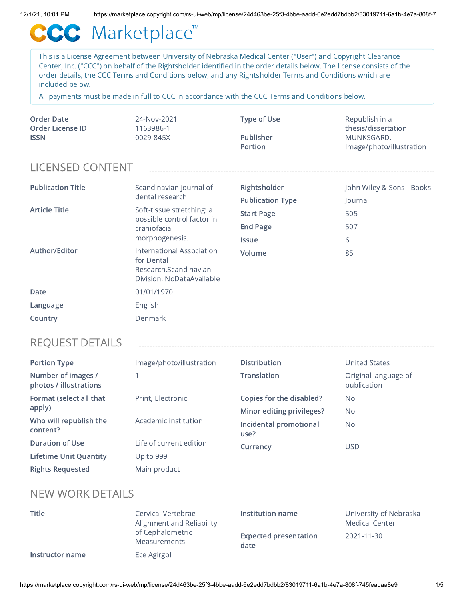# CCC Marketplace™

This is a License Agreement between University of Nebraska Medical Center ("User") and Copyright Clearance Center, Inc. ("CCC") on behalf of the Rightsholder identified in the order details below. The license consists of the order details, the CCC Terms and Conditions below, and any Rightsholder Terms and Conditions which are included below.

All payments must be made in full to CCC in accordance with the CCC Terms and Conditions below.

| Order Date       | 24-Nov-2021 | Type of Use | Republish in a           |
|------------------|-------------|-------------|--------------------------|
| Order License ID | 1163986-1   |             | thesis/dissertation      |
| <b>ISSN</b>      | 0029-845X   | Publisher   | MUNKSGARD.               |
|                  |             | Portion     | Image/photo/illustration |

# LICENSED CONTENT

| <b>Publication Title</b> | Scandinavian journal of<br>dental research                                                    | Rightsholder<br><b>Publication Type</b>              | John Wiley & Sons - Books<br>Journal |
|--------------------------|-----------------------------------------------------------------------------------------------|------------------------------------------------------|--------------------------------------|
| <b>Article Title</b>     | Soft-tissue stretching: a<br>possible control factor in<br>craniofacial<br>morphogenesis.     | <b>Start Page</b><br><b>End Page</b><br><b>Issue</b> | 505<br>507<br>6                      |
| Author/Editor            | International Association<br>for Dental<br>Research.Scandinavian<br>Division, NoDataAvailable | Volume                                               | 85                                   |
| Date                     | 01/01/1970                                                                                    |                                                      |                                      |
| Language                 | English                                                                                       |                                                      |                                      |
| Country                  | Denmark                                                                                       |                                                      |                                      |

### REQUEST DETAILS

| <b>Portion Type</b>                          | Image/photo/illustration | <b>Distribution</b>            | <b>United States</b>                |
|----------------------------------------------|--------------------------|--------------------------------|-------------------------------------|
| Number of images /<br>photos / illustrations |                          | <b>Translation</b>             | Original language of<br>publication |
| Format (select all that                      | Print, Electronic        | Copies for the disabled?       | No.                                 |
| apply)                                       |                          | Minor editing privileges?      | N <sub>o</sub>                      |
| Who will republish the<br>content?           | Academic institution     | Incidental promotional<br>use? | No.                                 |
| <b>Duration of Use</b>                       | Life of current edition  | Currency                       | <b>USD</b>                          |
| <b>Lifetime Unit Quantity</b>                | Up to 999                |                                |                                     |
| <b>Rights Requested</b>                      | Main product             |                                |                                     |

### NEW WORK DETAILS

| <b>Title</b>    | Cervical Vertebrae<br>Alignment and Reliability<br>of Cephalometric | Institution name                     | University of Nebraska<br><b>Medical Center</b> |
|-----------------|---------------------------------------------------------------------|--------------------------------------|-------------------------------------------------|
|                 | Measurements                                                        | <b>Expected presentation</b><br>date | 2021-11-30                                      |
| Instructor name | Ece Agirgol                                                         |                                      |                                                 |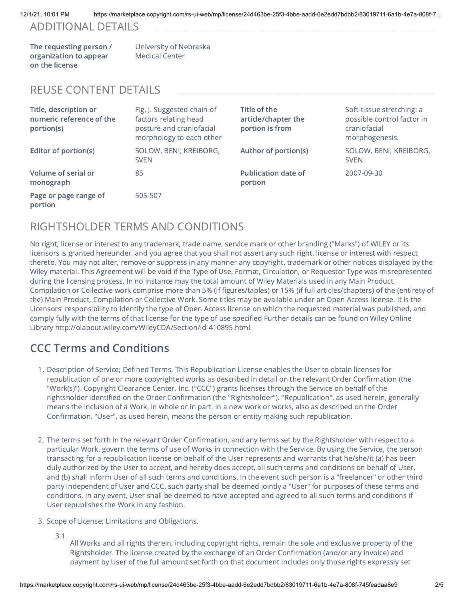### ADDITIONAL DETAILS

The requesting person / organization to appear on the license

University of Nebraska Medical Center

## REUSE CONTENT DETAILS

| Title, description or<br>numeric reference of the<br>portion(s) | Fig, J. Suggested chain of<br>factors relating head<br>posture and craniofacial<br>morphology to each other | Title of the<br>article/chapter the<br>portion is from | Soft-tissue stretching: a<br>possible control factor in<br>craniofacial<br>morphogenesis. |
|-----------------------------------------------------------------|-------------------------------------------------------------------------------------------------------------|--------------------------------------------------------|-------------------------------------------------------------------------------------------|
| Editor of portion(s)                                            | SOLOW, BENI; KREIBORG,<br><b>SVEN</b>                                                                       | Author of portion(s)                                   | SOLOW, BENI; KREIBORG,<br><b>SVEN</b>                                                     |
| Volume of serial or<br>monograph                                | 85                                                                                                          | <b>Publication date of</b><br>portion                  | 2007-09-30                                                                                |
| Page or page range of<br>portion                                | 505-507                                                                                                     |                                                        |                                                                                           |

# RIGHTSHOLDER TERMS AND CONDITIONS

No right, license or interest to any trademark, trade name, service mark or other branding ("Marks") of WILEY or its licensors is granted hereunder, and you agree that you shall not assert any such right, license or interest with respect thereto. You may not alter, remove or suppress in any manner any copyright, trademark or other notices displayed by the Wiley material. This Agreement will be void if the Type of Use, Format, Circulation, or Requestor Type was misrepresented during the licensing process. In no instance may the total amount of Wiley Materials used in any Main Product, Compilation or Collective work comprise more than 5% (if figures/tables) or 15% (if full articles/chapters) of the (entirety of the) Main Product, Compilation or Collective Work. Some titles may be available under an Open Access license. It is the Licensors' responsibility to identify the type of Open Access license on which the requested material was published, and comply fully with the terms of that license for the type of use specified Further details can be found on Wiley Online Library http://olabout.wiley.com/WileyCDA/Section/id-410895.html.

# CCC Terms and Conditions

- 1. Description of Service; Defined Terms. This Republication License enables the User to obtain licenses for republication of one or more copyrighted works as described in detail on the relevant Order Confirmation (the "Work(s)"). Copyright Clearance Center, Inc. ("CCC") grants licenses through the Service on behalf of the rightsholder identified on the Order Confirmation (the "Rightsholder"). "Republication", as used herein, generally means the inclusion of a Work, in whole or in part, in a new work or works, also as described on the Order Confirmation. "User", as used herein, means the person or entity making such republication.
- 2. The terms set forth in the relevant Order Confirmation, and any terms set by the Rightsholder with respect to a particular Work, govern the terms of use of Works in connection with the Service. By using the Service, the person transacting for a republication license on behalf of the User represents and warrants that he/she/it (a) has been duly authorized by the User to accept, and hereby does accept, all such terms and conditions on behalf of User, and (b) shall inform User of all such terms and conditions. In the event such person is a "freelancer" or other third party independent of User and CCC, such party shall be deemed jointly a "User" for purposes of these terms and conditions. In any event, User shall be deemed to have accepted and agreed to all such terms and conditions if User republishes the Work in any fashion.
- 3. Scope of License; Limitations and Obligations.
	- 3.1.

All Works and all rights therein, including copyright rights, remain the sole and exclusive property of the Rightsholder. The license created by the exchange of an Order Confirmation (and/or any invoice) and payment by User of the full amount set forth on that document includes only those rights expressly set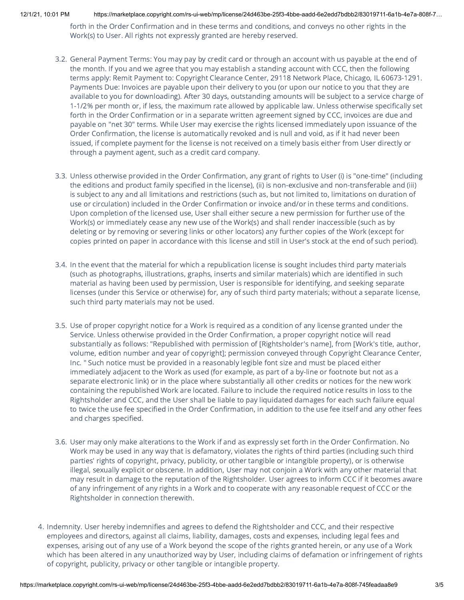forth in the Order Confirmation and in these terms and conditions, and conveys no other rights in the Work(s) to User. All rights not expressly granted are hereby reserved.

- 3.2. General Payment Terms: You may pay by credit card or through an account with us payable at the end of the month. If you and we agree that you may establish a standing account with CCC, then the following terms apply: Remit Payment to: Copyright Clearance Center, 29118 Network Place, Chicago, IL 60673-1291. Payments Due: Invoices are payable upon their delivery to you (or upon our notice to you that they are available to you for downloading). After 30 days, outstanding amounts will be subject to a service charge of 1-1/2% per month or, if less, the maximum rate allowed by applicable law. Unless otherwise specifically set forth in the Order Confirmation or in a separate written agreement signed by CCC, invoices are due and payable on "net 30" terms. While User may exercise the rights licensed immediately upon issuance of the Order Confirmation, the license is automatically revoked and is null and void, as if it had never been issued, if complete payment for the license is not received on a timely basis either from User directly or through a payment agent, such as a credit card company.
- 3.3. Unless otherwise provided in the Order Confirmation, any grant of rights to User (i) is "one-time" (including the editions and product family specified in the license), (ii) is non-exclusive and non-transferable and (iii) is subject to any and all limitations and restrictions (such as, but not limited to, limitations on duration of use or circulation) included in the Order Confirmation or invoice and/or in these terms and conditions. Upon completion of the licensed use, User shall either secure a new permission for further use of the Work(s) or immediately cease any new use of the Work(s) and shall render inaccessible (such as by deleting or by removing or severing links or other locators) any further copies of the Work (except for copies printed on paper in accordance with this license and still in User's stock at the end of such period).
- 3.4. In the event that the material for which a republication license is sought includes third party materials (such as photographs, illustrations, graphs, inserts and similar materials) which are identified in such material as having been used by permission, User is responsible for identifying, and seeking separate licenses (under this Service or otherwise) for, any of such third party materials; without a separate license, such third party materials may not be used.
- 3.5. Use of proper copyright notice for a Work is required as a condition of any license granted under the Service. Unless otherwise provided in the Order Confirmation, a proper copyright notice will read substantially as follows: "Republished with permission of [Rightsholder's name], from [Work's title, author, volume, edition number and year of copyright]; permission conveyed through Copyright Clearance Center, Inc. " Such notice must be provided in a reasonably legible font size and must be placed either immediately adjacent to the Work as used (for example, as part of a by-line or footnote but not as a separate electronic link) or in the place where substantially all other credits or notices for the new work containing the republished Work are located. Failure to include the required notice results in loss to the Rightsholder and CCC, and the User shall be liable to pay liquidated damages for each such failure equal to twice the use fee specified in the Order Confirmation, in addition to the use fee itself and any other fees and charges specified.
- 3.6. User may only make alterations to the Work if and as expressly set forth in the Order Confirmation. No Work may be used in any way that is defamatory, violates the rights of third parties (including such third parties' rights of copyright, privacy, publicity, or other tangible or intangible property), or is otherwise illegal, sexually explicit or obscene. In addition, User may not conjoin a Work with any other material that may result in damage to the reputation of the Rightsholder. User agrees to inform CCC if it becomes aware of any infringement of any rights in a Work and to cooperate with any reasonable request of CCC or the Rightsholder in connection therewith.
- 4. Indemnity. User hereby indemnifies and agrees to defend the Rightsholder and CCC, and their respective employees and directors, against all claims, liability, damages, costs and expenses, including legal fees and expenses, arising out of any use of a Work beyond the scope of the rights granted herein, or any use of a Work which has been altered in any unauthorized way by User, including claims of defamation or infringement of rights of copyright, publicity, privacy or other tangible or intangible property.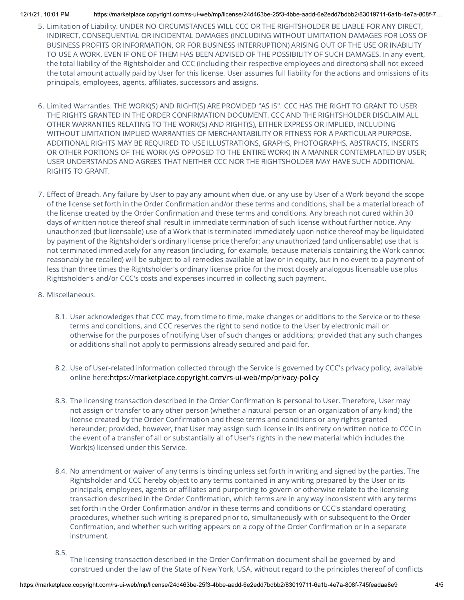- 5. Limitation of Liability. UNDER NO CIRCUMSTANCES WILL CCC OR THE RIGHTSHOLDER BE LIABLE FOR ANY DIRECT, INDIRECT, CONSEQUENTIAL OR INCIDENTAL DAMAGES (INCLUDING WITHOUT LIMITATION DAMAGES FOR LOSS OF BUSINESS PROFITS OR INFORMATION, OR FOR BUSINESS INTERRUPTION) ARISING OUT OF THE USE OR INABILITY TO USE A WORK, EVEN IF ONE OF THEM HAS BEEN ADVISED OF THE POSSIBILITY OF SUCH DAMAGES. In any event, the total liability of the Rightsholder and CCC (including their respective employees and directors) shall not exceed the total amount actually paid by User for this license. User assumes full liability for the actions and omissions of its principals, employees, agents, affiliates, successors and assigns.
- 6. Limited Warranties. THE WORK(S) AND RIGHT(S) ARE PROVIDED "AS IS". CCC HAS THE RIGHT TO GRANT TO USER THE RIGHTS GRANTED IN THE ORDER CONFIRMATION DOCUMENT. CCC AND THE RIGHTSHOLDER DISCLAIM ALL OTHER WARRANTIES RELATING TO THE WORK(S) AND RIGHT(S), EITHER EXPRESS OR IMPLIED, INCLUDING WITHOUT LIMITATION IMPLIED WARRANTIES OF MERCHANTABILITY OR FITNESS FOR A PARTICULAR PURPOSE. ADDITIONAL RIGHTS MAY BE REQUIRED TO USE ILLUSTRATIONS, GRAPHS, PHOTOGRAPHS, ABSTRACTS, INSERTS OR OTHER PORTIONS OF THE WORK (AS OPPOSED TO THE ENTIRE WORK) IN A MANNER CONTEMPLATED BY USER; USER UNDERSTANDS AND AGREES THAT NEITHER CCC NOR THE RIGHTSHOLDER MAY HAVE SUCH ADDITIONAL RIGHTS TO GRANT.
- 7. Effect of Breach. Any failure by User to pay any amount when due, or any use by User of a Work beyond the scope of the license set forth in the Order Confirmation and/or these terms and conditions, shall be a material breach of the license created by the Order Confirmation and these terms and conditions. Any breach not cured within 30 days of written notice thereof shall result in immediate termination of such license without further notice. Any unauthorized (but licensable) use of a Work that is terminated immediately upon notice thereof may be liquidated by payment of the Rightsholder's ordinary license price therefor; any unauthorized (and unlicensable) use that is not terminated immediately for any reason (including, for example, because materials containing the Work cannot reasonably be recalled) will be subject to all remedies available at law or in equity, but in no event to a payment of less than three times the Rightsholder's ordinary license price for the most closely analogous licensable use plus Rightsholder's and/or CCC's costs and expenses incurred in collecting such payment.
- 8. Miscellaneous.
	- 8.1. User acknowledges that CCC may, from time to time, make changes or additions to the Service or to these terms and conditions, and CCC reserves the right to send notice to the User by electronic mail or otherwise for the purposes of notifying User of such changes or additions; provided that any such changes or additions shall not apply to permissions already secured and paid for.
	- 8.2. Use of User-related information collected through the Service is governed by CCC's privacy policy, available online here:<https://marketplace.copyright.com/rs-ui-web/mp/privacy-policy>
	- 8.3. The licensing transaction described in the Order Confirmation is personal to User. Therefore, User may not assign or transfer to any other person (whether a natural person or an organization of any kind) the license created by the Order Confirmation and these terms and conditions or any rights granted hereunder; provided, however, that User may assign such license in its entirety on written notice to CCC in the event of a transfer of all or substantially all of User's rights in the new material which includes the Work(s) licensed under this Service.
	- 8.4. No amendment or waiver of any terms is binding unless set forth in writing and signed by the parties. The Rightsholder and CCC hereby object to any terms contained in any writing prepared by the User or its principals, employees, agents or affiliates and purporting to govern or otherwise relate to the licensing transaction described in the Order Confirmation, which terms are in any way inconsistent with any terms set forth in the Order Confirmation and/or in these terms and conditions or CCC's standard operating procedures, whether such writing is prepared prior to, simultaneously with or subsequent to the Order Confirmation, and whether such writing appears on a copy of the Order Confirmation or in a separate instrument.
	- 8.5.

The licensing transaction described in the Order Confirmation document shall be governed by and construed under the law of the State of New York, USA, without regard to the principles thereof of conflicts